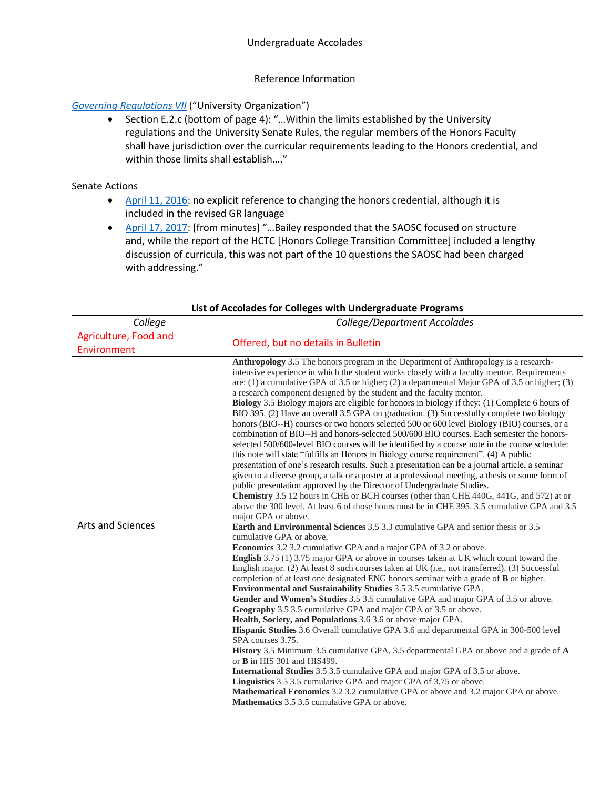## Reference Information

## *[Governing Regulations VII](https://www.uky.edu/regs/gr7)* ("University Organization")

• Section E.2.c (bottom of page 4): "…Within the limits established by the University regulations and the University Senate Rules, the regular members of the Honors Faculty shall have jurisdiction over the curricular requirements leading to the Honors credential, and within those limits shall establish…."

## Senate Actions

- [April 11, 2016:](https://www.uky.edu/universitysenate/senate/2016-04-11) no explicit reference to changing the honors credential, although it is included in the revised GR language
- [April 17, 2017:](https://www.uky.edu/universitysenate/senate/2017-04-17) [from minutes] "...Bailey responded that the SAOSC focused on structure and, while the report of the HCTC [Honors College Transition Committee] included a lengthy discussion of curricula, this was not part of the 10 questions the SAOSC had been charged with addressing."

| List of Accolades for Colleges with Undergraduate Programs |                                                                                                                                                                                                                                                                                                                                                                                                                                                                                                                                                                                                                                                                                                                                                                                                                                                                                                                                                                                                                                                                                                                                                                                                                                                                                                                                                                                                                                                                                                                                                                                                                                                                                                                                                                                                                                                                                                                                                                                                                                                                                                                                                                                                                                                                                                                                                                                                                                                                                                                                                                                                                                                                                                                                                                                                                |  |
|------------------------------------------------------------|----------------------------------------------------------------------------------------------------------------------------------------------------------------------------------------------------------------------------------------------------------------------------------------------------------------------------------------------------------------------------------------------------------------------------------------------------------------------------------------------------------------------------------------------------------------------------------------------------------------------------------------------------------------------------------------------------------------------------------------------------------------------------------------------------------------------------------------------------------------------------------------------------------------------------------------------------------------------------------------------------------------------------------------------------------------------------------------------------------------------------------------------------------------------------------------------------------------------------------------------------------------------------------------------------------------------------------------------------------------------------------------------------------------------------------------------------------------------------------------------------------------------------------------------------------------------------------------------------------------------------------------------------------------------------------------------------------------------------------------------------------------------------------------------------------------------------------------------------------------------------------------------------------------------------------------------------------------------------------------------------------------------------------------------------------------------------------------------------------------------------------------------------------------------------------------------------------------------------------------------------------------------------------------------------------------------------------------------------------------------------------------------------------------------------------------------------------------------------------------------------------------------------------------------------------------------------------------------------------------------------------------------------------------------------------------------------------------------------------------------------------------------------------------------------------------|--|
| College                                                    | College/Department Accolades                                                                                                                                                                                                                                                                                                                                                                                                                                                                                                                                                                                                                                                                                                                                                                                                                                                                                                                                                                                                                                                                                                                                                                                                                                                                                                                                                                                                                                                                                                                                                                                                                                                                                                                                                                                                                                                                                                                                                                                                                                                                                                                                                                                                                                                                                                                                                                                                                                                                                                                                                                                                                                                                                                                                                                                   |  |
| Agriculture, Food and<br>Environment                       | Offered, but no details in Bulletin                                                                                                                                                                                                                                                                                                                                                                                                                                                                                                                                                                                                                                                                                                                                                                                                                                                                                                                                                                                                                                                                                                                                                                                                                                                                                                                                                                                                                                                                                                                                                                                                                                                                                                                                                                                                                                                                                                                                                                                                                                                                                                                                                                                                                                                                                                                                                                                                                                                                                                                                                                                                                                                                                                                                                                            |  |
| <b>Arts and Sciences</b>                                   | Anthropology 3.5 The honors program in the Department of Anthropology is a research-<br>intensive experience in which the student works closely with a faculty mentor. Requirements<br>are: (1) a cumulative GPA of 3.5 or higher; (2) a departmental Major GPA of 3.5 or higher; (3)<br>a research component designed by the student and the faculty mentor.<br>Biology 3.5 Biology majors are eligible for honors in biology if they: (1) Complete 6 hours of<br>BIO 395. (2) Have an overall 3.5 GPA on graduation. (3) Successfully complete two biology<br>honors (BIO--H) courses or two honors selected 500 or 600 level Biology (BIO) courses, or a<br>combination of BIO--H and honors-selected 500/600 BIO courses. Each semester the honors-<br>selected 500/600-level BIO courses will be identified by a course note in the course schedule:<br>this note will state "fulfills an Honors in Biology course requirement". (4) A public<br>presentation of one's research results. Such a presentation can be a journal article, a seminar<br>given to a diverse group, a talk or a poster at a professional meeting, a thesis or some form of<br>public presentation approved by the Director of Undergraduate Studies.<br><b>Chemistry</b> 3.5 12 hours in CHE or BCH courses (other than CHE 440G, 441G, and 572) at or<br>above the 300 level. At least 6 of those hours must be in CHE 395. 3.5 cumulative GPA and 3.5<br>major GPA or above.<br><b>Earth and Environmental Sciences</b> 3.5 3.3 cumulative GPA and senior thesis or 3.5<br>cumulative GPA or above.<br><b>Economics</b> 3.2 3.2 cumulative GPA and a major GPA of 3.2 or above.<br><b>English</b> 3.75 (1) 3.75 major GPA or above in courses taken at UK which count toward the<br>English major. (2) At least 8 such courses taken at UK (i.e., not transferred). (3) Successful<br>completion of at least one designated ENG honors seminar with a grade of B or higher.<br><b>Environmental and Sustainability Studies 3.5 3.5 cumulative GPA.</b><br>Gender and Women's Studies 3.5 3.5 cumulative GPA and major GPA of 3.5 or above.<br>Geography 3.5 3.5 cumulative GPA and major GPA of 3.5 or above.<br>Health, Society, and Populations 3.6 3.6 or above major GPA.<br>Hispanic Studies 3.6 Overall cumulative GPA 3.6 and departmental GPA in 300-500 level<br>SPA courses 3.75.<br>History 3.5 Minimum 3.5 cumulative GPA, 3.5 departmental GPA or above and a grade of A<br>or <b>B</b> in HIS 301 and HIS499.<br>International Studies 3.5 3.5 cumulative GPA and major GPA of 3.5 or above.<br>Linguistics 3.5 3.5 cumulative GPA and major GPA of 3.75 or above.<br><b>Mathematical Economics</b> 3.2 3.2 cumulative GPA or above and 3.2 major GPA or above.<br>Mathematics 3.5 3.5 cumulative GPA or above. |  |